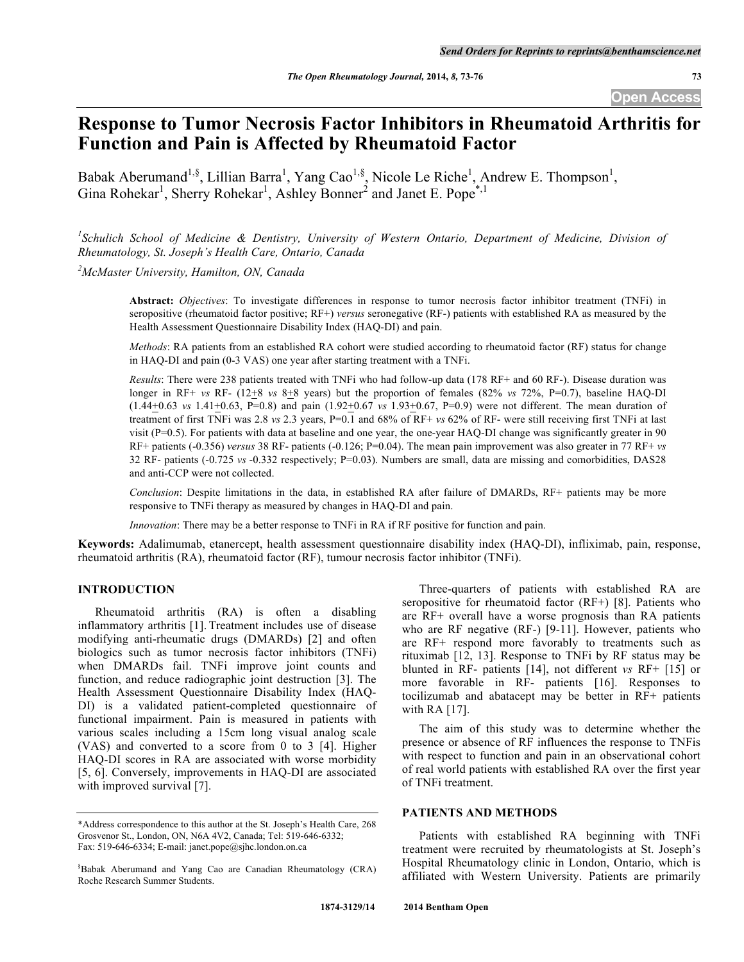# **Response to Tumor Necrosis Factor Inhibitors in Rheumatoid Arthritis for Function and Pain is Affected by Rheumatoid Factor**

Babak Aberumand<sup>1,§</sup>, Lillian Barra<sup>1</sup>, Yang Cao<sup>1,§</sup>, Nicole Le Riche<sup>1</sup>, Andrew E. Thompson<sup>1</sup>, Gina Rohekar<sup>1</sup>, Sherry Rohekar<sup>1</sup>, Ashley Bonner<sup>2</sup> and Janet E. Pope<sup>\*,1</sup>

*1 Schulich School of Medicine & Dentistry, University of Western Ontario, Department of Medicine, Division of Rheumatology, St. Joseph's Health Care, Ontario, Canada*

*2 McMaster University, Hamilton, ON, Canada*

**Abstract:** *Objectives*: To investigate differences in response to tumor necrosis factor inhibitor treatment (TNFi) in seropositive (rheumatoid factor positive; RF+) *versus* seronegative (RF-) patients with established RA as measured by the Health Assessment Questionnaire Disability Index (HAQ-DI) and pain.

*Methods*: RA patients from an established RA cohort were studied according to rheumatoid factor (RF) status for change in HAQ-DI and pain (0-3 VAS) one year after starting treatment with a TNFi.

*Results*: There were 238 patients treated with TNFi who had follow-up data (178 RF+ and 60 RF-). Disease duration was longer in RF+ *vs* RF- (12+8 *vs* 8+8 years) but the proportion of females (82% *vs* 72%, P=0.7), baseline HAQ-DI (1.44+0.63 *vs* 1.41+0.63, P=0.8) and pain (1.92+0.67 *vs* 1.93+0.67, P=0.9) were not different. The mean duration of treatment of first TNFi was 2.8 *vs* 2.3 years, P=0.1 and 68% of RF+ *vs* 62% of RF- were still receiving first TNFi at last visit  $(P=0.5)$ . For patients with data at baseline and one year, the one-year HAQ-DI change was significantly greater in 90 RF+ patients (-0.356) *versus* 38 RF- patients (-0.126; P=0.04). The mean pain improvement was also greater in 77 RF+ *vs*  32 RF- patients (-0.725 *vs* -0.332 respectively; P=0.03). Numbers are small, data are missing and comorbidities, DAS28 and anti-CCP were not collected.

*Conclusion*: Despite limitations in the data, in established RA after failure of DMARDs, RF+ patients may be more responsive to TNFi therapy as measured by changes in HAQ-DI and pain.

*Innovation*: There may be a better response to TNFi in RA if RF positive for function and pain.

**Keywords:** Adalimumab, etanercept, health assessment questionnaire disability index (HAQ-DI), infliximab, pain, response, rheumatoid arthritis (RA), rheumatoid factor (RF), tumour necrosis factor inhibitor (TNFi).

# **INTRODUCTION**

Rheumatoid arthritis (RA) is often a disabling inflammatory arthritis [1]. Treatment includes use of disease modifying anti-rheumatic drugs (DMARDs) [2] and often biologics such as tumor necrosis factor inhibitors (TNFi) when DMARDs fail. TNFi improve joint counts and function, and reduce radiographic joint destruction [3]. The Health Assessment Questionnaire Disability Index (HAQ-DI) is a validated patient-completed questionnaire of functional impairment. Pain is measured in patients with various scales including a 15cm long visual analog scale (VAS) and converted to a score from 0 to 3 [4]. Higher HAQ-DI scores in RA are associated with worse morbidity [5, 6]. Conversely, improvements in HAQ-DI are associated with improved survival [7].

Three-quarters of patients with established RA are seropositive for rheumatoid factor (RF+) [8]. Patients who are RF+ overall have a worse prognosis than RA patients who are RF negative (RF-) [9-11]. However, patients who are RF+ respond more favorably to treatments such as rituximab [12, 13]. Response to TNFi by RF status may be blunted in RF- patients [14], not different *vs* RF+ [15] or more favorable in RF- patients [16]. Responses to tocilizumab and abatacept may be better in RF+ patients with RA [17].

The aim of this study was to determine whether the presence or absence of RF influences the response to TNFis with respect to function and pain in an observational cohort of real world patients with established RA over the first year of TNFi treatment.

# **PATIENTS AND METHODS**

Patients with established RA beginning with TNFi treatment were recruited by rheumatologists at St. Joseph's Hospital Rheumatology clinic in London, Ontario, which is affiliated with Western University. Patients are primarily

<sup>\*</sup>Address correspondence to this author at the St. Joseph's Health Care, 268 Grosvenor St., London, ON, N6A 4V2, Canada; Tel: 519-646-6332; Fax: 519-646-6334; E-mail: janet.pope@sjhc.london.on.ca

<sup>§</sup> Babak Aberumand and Yang Cao are Canadian Rheumatology (CRA) Roche Research Summer Students.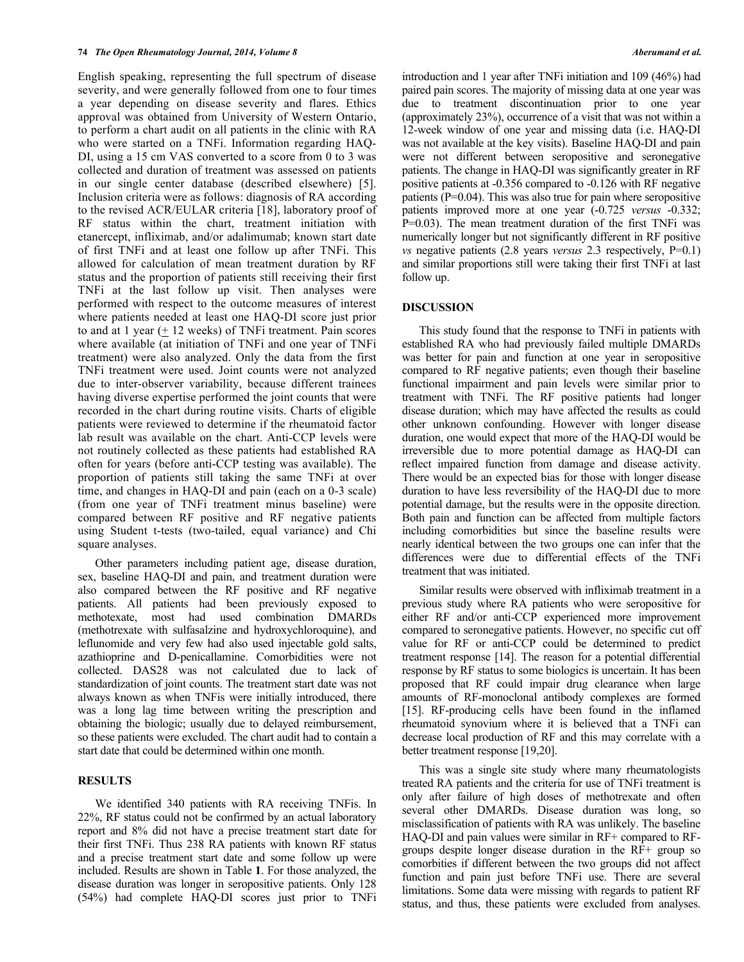English speaking, representing the full spectrum of disease severity, and were generally followed from one to four times a year depending on disease severity and flares. Ethics approval was obtained from University of Western Ontario, to perform a chart audit on all patients in the clinic with RA who were started on a TNFi. Information regarding HAQ-DI, using a 15 cm VAS converted to a score from 0 to 3 was collected and duration of treatment was assessed on patients in our single center database (described elsewhere) [5]. Inclusion criteria were as follows: diagnosis of RA according to the revised ACR/EULAR criteria [18], laboratory proof of RF status within the chart, treatment initiation with etanercept, infliximab, and/or adalimumab; known start date of first TNFi and at least one follow up after TNFi. This allowed for calculation of mean treatment duration by RF status and the proportion of patients still receiving their first TNFi at the last follow up visit. Then analyses were performed with respect to the outcome measures of interest where patients needed at least one HAQ-DI score just prior to and at 1 year (+ 12 weeks) of TNFi treatment. Pain scores where available (at initiation of TNFi and one year of TNFi treatment) were also analyzed. Only the data from the first TNFi treatment were used. Joint counts were not analyzed due to inter-observer variability, because different trainees having diverse expertise performed the joint counts that were recorded in the chart during routine visits. Charts of eligible patients were reviewed to determine if the rheumatoid factor lab result was available on the chart. Anti-CCP levels were not routinely collected as these patients had established RA often for years (before anti-CCP testing was available). The proportion of patients still taking the same TNFi at over time, and changes in HAQ-DI and pain (each on a 0-3 scale) (from one year of TNFi treatment minus baseline) were compared between RF positive and RF negative patients using Student t-tests (two-tailed, equal variance) and Chi square analyses.

Other parameters including patient age, disease duration, sex, baseline HAQ-DI and pain, and treatment duration were also compared between the RF positive and RF negative patients. All patients had been previously exposed to methotexate, most had used combination DMARDs (methotrexate with sulfasalzine and hydroxychloroquine), and leflunomide and very few had also used injectable gold salts, azathioprine and D-penicallamine. Comorbidities were not collected. DAS28 was not calculated due to lack of standardization of joint counts. The treatment start date was not always known as when TNFis were initially introduced, there was a long lag time between writing the prescription and obtaining the biologic; usually due to delayed reimbursement, so these patients were excluded. The chart audit had to contain a start date that could be determined within one month.

# **RESULTS**

We identified 340 patients with RA receiving TNFis. In 22%, RF status could not be confirmed by an actual laboratory report and 8% did not have a precise treatment start date for their first TNFi. Thus 238 RA patients with known RF status and a precise treatment start date and some follow up were included. Results are shown in Table **1**. For those analyzed, the disease duration was longer in seropositive patients. Only 128 (54%) had complete HAQ-DI scores just prior to TNFi

introduction and 1 year after TNFi initiation and 109 (46%) had paired pain scores. The majority of missing data at one year was due to treatment discontinuation prior to one year (approximately 23%), occurrence of a visit that was not within a 12-week window of one year and missing data (i.e. HAQ-DI was not available at the key visits). Baseline HAQ-DI and pain were not different between seropositive and seronegative patients. The change in HAQ-DI was significantly greater in RF positive patients at -0.356 compared to -0.126 with RF negative patients (P=0.04). This was also true for pain where seropositive patients improved more at one year (-0.725 *versus* -0.332; P=0.03). The mean treatment duration of the first TNFi was numerically longer but not significantly different in RF positive *vs* negative patients (2.8 years *versus* 2.3 respectively, P=0.1) and similar proportions still were taking their first TNFi at last follow up.

### **DISCUSSION**

This study found that the response to TNFi in patients with established RA who had previously failed multiple DMARDs was better for pain and function at one year in seropositive compared to RF negative patients; even though their baseline functional impairment and pain levels were similar prior to treatment with TNFi. The RF positive patients had longer disease duration; which may have affected the results as could other unknown confounding. However with longer disease duration, one would expect that more of the HAQ-DI would be irreversible due to more potential damage as HAQ-DI can reflect impaired function from damage and disease activity. There would be an expected bias for those with longer disease duration to have less reversibility of the HAQ-DI due to more potential damage, but the results were in the opposite direction. Both pain and function can be affected from multiple factors including comorbidities but since the baseline results were nearly identical between the two groups one can infer that the differences were due to differential effects of the TNFi treatment that was initiated.

Similar results were observed with infliximab treatment in a previous study where RA patients who were seropositive for either RF and/or anti-CCP experienced more improvement compared to seronegative patients. However, no specific cut off value for RF or anti-CCP could be determined to predict treatment response [14]. The reason for a potential differential response by RF status to some biologics is uncertain. It has been proposed that RF could impair drug clearance when large amounts of RF-monoclonal antibody complexes are formed [15]. RF-producing cells have been found in the inflamed rheumatoid synovium where it is believed that a TNFi can decrease local production of RF and this may correlate with a better treatment response [19,20].

This was a single site study where many rheumatologists treated RA patients and the criteria for use of TNFi treatment is only after failure of high doses of methotrexate and often several other DMARDs. Disease duration was long, so misclassification of patients with RA was unlikely. The baseline HAQ-DI and pain values were similar in RF+ compared to RFgroups despite longer disease duration in the RF+ group so comorbities if different between the two groups did not affect function and pain just before TNFi use. There are several limitations. Some data were missing with regards to patient RF status, and thus, these patients were excluded from analyses.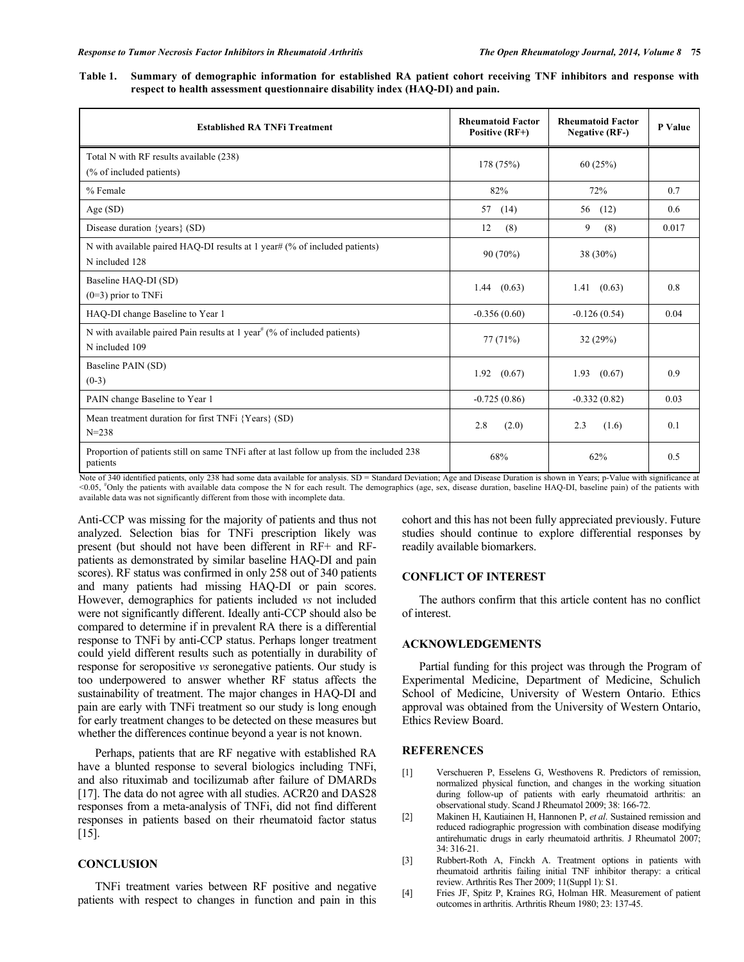**Table 1. Summary of demographic information for established RA patient cohort receiving TNF inhibitors and response with respect to health assessment questionnaire disability index (HAQ-DI) and pain.**

| <b>Established RA TNFi Treatment</b>                                                                   | <b>Rheumatoid Factor</b><br>Positive (RF+) | <b>Rheumatoid Factor</b><br><b>Negative (RF-)</b> | P Value |
|--------------------------------------------------------------------------------------------------------|--------------------------------------------|---------------------------------------------------|---------|
| Total N with RF results available (238)<br>(% of included patients)                                    | 178 (75%)                                  | 60(25%)                                           |         |
| % Female                                                                                               | 82%                                        | 72%                                               | 0.7     |
| Age(SD)                                                                                                | 57 (14)                                    | (12)<br>56                                        | 0.6     |
| Disease duration {years} (SD)                                                                          | 12<br>(8)                                  | 9<br>(8)                                          | 0.017   |
| N with available paired HAQ-DI results at 1 year# (% of included patients)<br>N included 128           | 90 (70%)                                   | 38 (30%)                                          |         |
| Baseline HAQ-DI (SD)<br>$(0=3)$ prior to TNFi                                                          | 1.44(0.63)                                 | 1.41(0.63)                                        | 0.8     |
| HAQ-DI change Baseline to Year 1                                                                       | $-0.356(0.60)$                             | $-0.126(0.54)$                                    | 0.04    |
| N with available paired Pain results at 1 year <sup>#</sup> (% of included patients)<br>N included 109 | 77(71%)                                    | 32(29%)                                           |         |
| Baseline PAIN (SD)<br>$(0-3)$                                                                          | $1.92$ $(0.67)$                            | $1.93$ $(0.67)$                                   | 0.9     |
| PAIN change Baseline to Year 1                                                                         | $-0.725(0.86)$                             | $-0.332(0.82)$                                    | 0.03    |
| Mean treatment duration for first TNFi {Years} (SD)<br>$N = 238$                                       | 2.8<br>(2.0)                               | 2.3<br>(1.6)                                      | 0.1     |
| Proportion of patients still on same TNFi after at last follow up from the included 238<br>patients    | 68%                                        | 62%                                               | 0.5     |

Note of 340 identified patients, only 238 had some data available for analysis. SD = Standard Deviation; Age and Disease Duration is shown in Years; p-Value with significance at <0.05, # Only the patients with available data compose the N for each result. The demographics (age, sex, disease duration, baseline HAQ-DI, baseline pain) of the patients with available data was not significantly different from those with incomplete data.

Anti-CCP was missing for the majority of patients and thus not analyzed. Selection bias for TNFi prescription likely was present (but should not have been different in RF+ and RFpatients as demonstrated by similar baseline HAQ-DI and pain scores). RF status was confirmed in only 258 out of 340 patients and many patients had missing HAQ-DI or pain scores. However, demographics for patients included *vs* not included were not significantly different. Ideally anti-CCP should also be compared to determine if in prevalent RA there is a differential response to TNFi by anti-CCP status. Perhaps longer treatment could yield different results such as potentially in durability of response for seropositive *vs* seronegative patients. Our study is too underpowered to answer whether RF status affects the sustainability of treatment. The major changes in HAQ-DI and pain are early with TNFi treatment so our study is long enough for early treatment changes to be detected on these measures but whether the differences continue beyond a year is not known.

Perhaps, patients that are RF negative with established RA have a blunted response to several biologics including TNFi, and also rituximab and tocilizumab after failure of DMARDs [17]. The data do not agree with all studies. ACR20 and DAS28 responses from a meta-analysis of TNFi, did not find different responses in patients based on their rheumatoid factor status [15].

## **CONCLUSION**

TNFi treatment varies between RF positive and negative patients with respect to changes in function and pain in this cohort and this has not been fully appreciated previously. Future studies should continue to explore differential responses by readily available biomarkers.

## **CONFLICT OF INTEREST**

The authors confirm that this article content has no conflict of interest.

#### **ACKNOWLEDGEMENTS**

Partial funding for this project was through the Program of Experimental Medicine, Department of Medicine, Schulich School of Medicine, University of Western Ontario. Ethics approval was obtained from the University of Western Ontario, Ethics Review Board.

### **REFERENCES**

- [1] Verschueren P, Esselens G, Westhovens R. Predictors of remission, normalized physical function, and changes in the working situation during follow-up of patients with early rheumatoid arthritis: an observational study. Scand J Rheumatol 2009; 38: 166-72.
- [2] Makinen H, Kautiainen H, Hannonen P, *et al*. Sustained remission and reduced radiographic progression with combination disease modifying antirehumatic drugs in early rheumatoid arthritis. J Rheumatol 2007; 34: 316-21.
- [3] Rubbert-Roth A, Finckh A. Treatment options in patients with rheumatoid arthritis failing initial TNF inhibitor therapy: a critical review. Arthritis Res Ther 2009; 11(Suppl 1): S1.
- [4] Fries JF, Spitz P, Kraines RG, Holman HR. Measurement of patient outcomes in arthritis. Arthritis Rheum 1980; 23: 137-45.